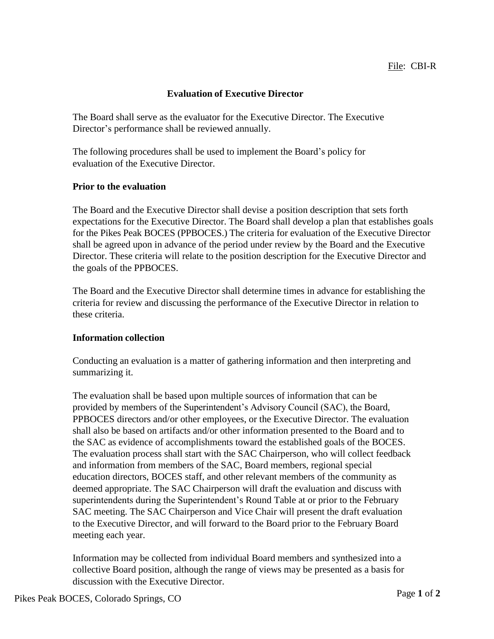## **Evaluation of Executive Director**

The Board shall serve as the evaluator for the Executive Director. The Executive Director's performance shall be reviewed annually.

The following procedures shall be used to implement the Board's policy for evaluation of the Executive Director.

## **Prior to the evaluation**

The Board and the Executive Director shall devise a position description that sets forth expectations for the Executive Director. The Board shall develop a plan that establishes goals for the Pikes Peak BOCES (PPBOCES.) The criteria for evaluation of the Executive Director shall be agreed upon in advance of the period under review by the Board and the Executive Director. These criteria will relate to the position description for the Executive Director and the goals of the PPBOCES.

The Board and the Executive Director shall determine times in advance for establishing the criteria for review and discussing the performance of the Executive Director in relation to these criteria.

## **Information collection**

Conducting an evaluation is a matter of gathering information and then interpreting and summarizing it.

The evaluation shall be based upon multiple sources of information that can be provided by members of the Superintendent's Advisory Council (SAC), the Board, PPBOCES directors and/or other employees, or the Executive Director. The evaluation shall also be based on artifacts and/or other information presented to the Board and to the SAC as evidence of accomplishments toward the established goals of the BOCES. The evaluation process shall start with the SAC Chairperson, who will collect feedback and information from members of the SAC, Board members, regional special education directors, BOCES staff, and other relevant members of the community as deemed appropriate. The SAC Chairperson will draft the evaluation and discuss with superintendents during the Superintendent's Round Table at or prior to the February SAC meeting. The SAC Chairperson and Vice Chair will present the draft evaluation to the Executive Director, and will forward to the Board prior to the February Board meeting each year.

Information may be collected from individual Board members and synthesized into a collective Board position, although the range of views may be presented as a basis for discussion with the Executive Director.